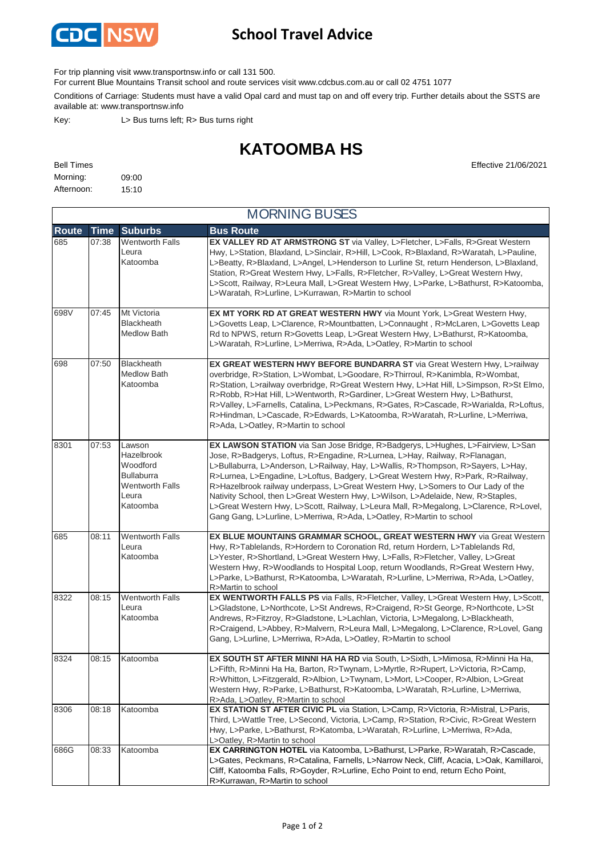

## **School Travel Advice**

For trip planning visit www.transportnsw.info or call 131 500.

For current Blue Mountains Transit school and route services visit www.cdcbus.com.au or call 02 4751 1077

Conditions of Carriage: Students must have a valid Opal card and must tap on and off every trip. Further details about the SSTS are available at: www.transportnsw.info

Key: L> Bus turns left; R> Bus turns right

## **KATOOMBA HS**

| <b>Bell Times</b> |       |
|-------------------|-------|
| Morning:          | 09:00 |
| Afternoon:        | 15:10 |

**Effective 21/06/2021** 

|              | <b>MORNING BUSES</b> |                                                                                                      |                                                                                                                                                                                                                                                                                                                                                                                                                                                                                                                                                                                                                                                                                |  |  |  |
|--------------|----------------------|------------------------------------------------------------------------------------------------------|--------------------------------------------------------------------------------------------------------------------------------------------------------------------------------------------------------------------------------------------------------------------------------------------------------------------------------------------------------------------------------------------------------------------------------------------------------------------------------------------------------------------------------------------------------------------------------------------------------------------------------------------------------------------------------|--|--|--|
| <b>Route</b> | <b>Time</b>          | <b>Suburbs</b>                                                                                       | <b>Bus Route</b>                                                                                                                                                                                                                                                                                                                                                                                                                                                                                                                                                                                                                                                               |  |  |  |
| 685          | 07:38                | <b>Wentworth Falls</b><br>Leura<br>Katoomba                                                          | EX VALLEY RD AT ARMSTRONG ST via Valley, L>Fletcher, L>Falls, R>Great Western<br>Hwy, L>Station, Blaxland, L>Sinclair, R>Hill, L>Cook, R>Blaxland, R>Waratah, L>Pauline,<br>L>Beatty, R>Blaxland, L>Angel, L>Henderson to Lurline St, return Henderson, L>Blaxland,<br>Station, R>Great Western Hwy, L>Falls, R>Fletcher, R>Valley, L>Great Western Hwy,<br>L>Scott, Railway, R>Leura Mall, L>Great Western Hwy, L>Parke, L>Bathurst, R>Katoomba,<br>L>Waratah, R>Lurline, L>Kurrawan, R>Martin to school                                                                                                                                                                      |  |  |  |
| 698V         | 07:45                | Mt Victoria<br><b>Blackheath</b><br>Medlow Bath                                                      | EX MT YORK RD AT GREAT WESTERN HWY via Mount York, L>Great Western Hwy,<br>L>Govetts Leap, L>Clarence, R>Mountbatten, L>Connaught, R>McLaren, L>Govetts Leap<br>Rd to NPWS, return R>Govetts Leap, L>Great Western Hwy, L>Bathurst, R>Katoomba,<br>L>Waratah, R>Lurline, L>Merriwa, R>Ada, L>Oatley, R>Martin to school                                                                                                                                                                                                                                                                                                                                                        |  |  |  |
| 698          | 07:50                | Blackheath<br>Medlow Bath<br>Katoomba                                                                | EX GREAT WESTERN HWY BEFORE BUNDARRA ST via Great Western Hwy, L>railway<br>overbridge, R>Station, L>Wombat, L>Goodare, R>Thirroul, R>Kanimbla, R>Wombat,<br>R>Station, L>railway overbridge, R>Great Western Hwy, L>Hat Hill, L>Simpson, R>St Elmo,<br>R>Robb, R>Hat Hill, L>Wentworth, R>Gardiner, L>Great Western Hwy, L>Bathurst,<br>R>Valley, L>Farnells, Catalina, L>Peckmans, R>Gates, R>Cascade, R>Warialda, R>Loftus,<br>R>Hindman, L>Cascade, R>Edwards, L>Katoomba, R>Waratah, R>Lurline, L>Merriwa,<br>R>Ada, L>Oatley, R>Martin to school                                                                                                                         |  |  |  |
| 8301         | 07:53                | Lawson<br>Hazelbrook<br>Woodford<br><b>Bullaburra</b><br><b>Wentworth Falls</b><br>Leura<br>Katoomba | EX LAWSON STATION via San Jose Bridge, R>Badgerys, L>Hughes, L>Fairview, L>San<br>Jose, R>Badgerys, Loftus, R>Engadine, R>Lurnea, L>Hay, Railway, R>Flanagan,<br>L>Bullaburra, L>Anderson, L>Railway, Hay, L>Wallis, R>Thompson, R>Sayers, L>Hay,<br>R>Lurnea, L>Engadine, L>Loftus, Badgery, L>Great Western Hwy, R>Park, R>Railway,<br>R>Hazelbrook railway underpass, L>Great Western Hwy, L>Somers to Our Lady of the<br>Nativity School, then L>Great Western Hwy, L>Wilson, L>Adelaide, New, R>Staples,<br>L>Great Western Hwy, L>Scott, Railway, L>Leura Mall, R>Megalong, L>Clarence, R>Lovel,<br>Gang Gang, L>Lurline, L>Merriwa, R>Ada, L>Oatley, R>Martin to school |  |  |  |
| 685          | 08:11                | <b>Wentworth Falls</b><br>Leura<br>Katoomba                                                          | EX BLUE MOUNTAINS GRAMMAR SCHOOL, GREAT WESTERN HWY via Great Western<br>Hwy, R>Tablelands, R>Hordern to Coronation Rd, return Hordern, L>Tablelands Rd,<br>L>Yester, R>Shortland, L>Great Western Hwy, L>Falls, R>Fletcher, Valley, L>Great<br>Western Hwy, R>Woodlands to Hospital Loop, return Woodlands, R>Great Western Hwy,<br>L>Parke, L>Bathurst, R>Katoomba, L>Waratah, R>Lurline, L>Merriwa, R>Ada, L>Oatley,<br>R>Martin to school                                                                                                                                                                                                                                  |  |  |  |
| 8322         | 08:15                | <b>Wentworth Falls</b><br>Leura<br>Katoomba                                                          | EX WENTWORTH FALLS PS via Falls, R>Fletcher, Valley, L>Great Western Hwy, L>Scott,<br>L>Gladstone, L>Northcote, L>St Andrews, R>Craigend, R>St George, R>Northcote, L>St<br>Andrews, R>Fitzroy, R>Gladstone, L>Lachlan, Victoria, L>Megalong, L>Blackheath,<br>R>Craigend, L>Abbey, R>Malvern, R>Leura Mall, L>Megalong, L>Clarence, R>Lovel, Gang<br>Gang, L>Lurline, L>Merriwa, R>Ada, L>Oatley, R>Martin to school                                                                                                                                                                                                                                                          |  |  |  |
| 8324         | 08:15                | Katoomba                                                                                             | EX SOUTH ST AFTER MINNI HA HA RD via South, L>Sixth, L>Mimosa, R>Minni Ha Ha,<br>L>Fifth, R>Minni Ha Ha, Barton, R>Twynam, L>Myrtle, R>Rupert, L>Victoria, R>Camp,<br>R>Whitton, L>Fitzgerald, R>Albion, L>Twynam, L>Mort, L>Cooper, R>Albion, L>Great<br>Western Hwy, R>Parke, L>Bathurst, R>Katoomba, L>Waratah, R>Lurline, L>Merriwa,<br>R>Ada, L>Oatley, R>Martin to school                                                                                                                                                                                                                                                                                                |  |  |  |
| 8306         | 08:18                | Katoomba                                                                                             | EX STATION ST AFTER CIVIC PL via Station, L>Camp, R>Victoria, R>Mistral, L>Paris,<br>Third, L>Wattle Tree, L>Second, Victoria, L>Camp, R>Station, R>Civic, R>Great Western<br>Hwy, L>Parke, L>Bathurst, R>Katomba, L>Waratah, R>Lurline, L>Merriwa, R>Ada,<br>L>Oatley, R>Martin to school                                                                                                                                                                                                                                                                                                                                                                                     |  |  |  |
| 686G         | 08:33                | Katoomba                                                                                             | EX CARRINGTON HOTEL via Katoomba, L>Bathurst, L>Parke, R>Waratah, R>Cascade,<br>L>Gates, Peckmans, R>Catalina, Farnells, L>Narrow Neck, Cliff, Acacia, L>Oak, Kamillaroi,<br>Cliff, Katoomba Falls, R>Goyder, R>Lurline, Echo Point to end, return Echo Point,<br>R>Kurrawan, R>Martin to school                                                                                                                                                                                                                                                                                                                                                                               |  |  |  |